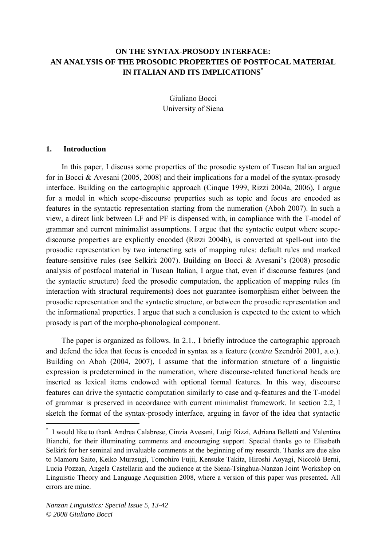# **ON THE SYNTAX-PROSODY INTERFACE: AN ANALYSIS OF THE PROSODIC PROPERTIES OF POSTFOCAL MATERIAL IN ITALIAN AND ITS IMPLICATIONS[\\*](#page-0-0)**

Giuliano Bocci University of Siena

#### **1. Introduction**

In this paper, I discuss some properties of the prosodic system of Tuscan Italian argued for in Bocci & Avesani (2005, 2008) and their implications for a model of the syntax-prosody interface. Building on the cartographic approach (Cinque 1999, Rizzi 2004a, 2006), I argue for a model in which scope-discourse properties such as topic and focus are encoded as features in the syntactic representation starting from the numeration (Aboh 2007). In such a view, a direct link between LF and PF is dispensed with, in compliance with the T-model of grammar and current minimalist assumptions. I argue that the syntactic output where scopediscourse properties are explicitly encoded (Rizzi 2004b), is converted at spell-out into the prosodic representation by two interacting sets of mapping rules: default rules and marked feature-sensitive rules (see Selkirk 2007). Building on Bocci & Avesani's (2008) prosodic analysis of postfocal material in Tuscan Italian, I argue that, even if discourse features (and the syntactic structure) feed the prosodic computation, the application of mapping rules (in interaction with structural requirements) does not guarantee isomorphism either between the prosodic representation and the syntactic structure, or between the prosodic representation and the informational properties. I argue that such a conclusion is expected to the extent to which prosody is part of the morpho-phonological component.

The paper is organized as follows. In 2.1., I briefly introduce the cartographic approach and defend the idea that focus is encoded in syntax as a feature (*contra* Szendröi 2001, a.o.). Building on Aboh (2004, 2007), I assume that the information structure of a linguistic expression is predetermined in the numeration, where discourse-related functional heads are inserted as lexical items endowed with optional formal features. In this way, discourse features can drive the syntactic computation similarly to case and φ-features and the T-model of grammar is preserved in accordance with current minimalist framework. In section 2.2, I sketch the format of the syntax-prosody interface, arguing in favor of the idea that syntactic

<span id="page-0-0"></span><sup>\*</sup> I would like to thank Andrea Calabrese, Cinzia Avesani, Luigi Rizzi, Adriana Belletti and Valentina Bianchi, for their illuminating comments and encouraging support. Special thanks go to Elisabeth Selkirk for her seminal and invaluable comments at the beginning of my research. Thanks are due also to Mamoru Saito, Keiko Murasugi, Tomohiro Fujii, Kensuke Takita, Hiroshi Aoyagi, Niccolò Berni, Lucia Pozzan, Angela Castellarin and the audience at the Siena-Tsinghua-Nanzan Joint Workshop on Linguistic Theory and Language Acquisition 2008, where a version of this paper was presented. All errors are mine.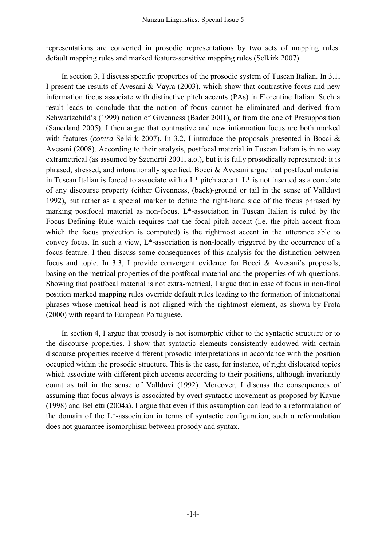representations are converted in prosodic representations by two sets of mapping rules: default mapping rules and marked feature-sensitive mapping rules (Selkirk 2007).

 In section 3, I discuss specific properties of the prosodic system of Tuscan Italian. In 3.1, I present the results of Avesani  $\&$  Vayra (2003), which show that contrastive focus and new information focus associate with distinctive pitch accents (PAs) in Florentine Italian. Such a result leads to conclude that the notion of focus cannot be eliminated and derived from Schwartzchild's (1999) notion of Givenness (Bader 2001), or from the one of Presupposition (Sauerland 2005). I then argue that contrastive and new information focus are both marked with features *(contra* Selkirk 2007). In 3.2, I introduce the proposals presented in Bocci & Avesani (2008). According to their analysis, postfocal material in Tuscan Italian is in no way extrametrical (as assumed by Szendröi 2001, a.o.), but it is fully prosodically represented: it is phrased, stressed, and intonationally specified. Bocci & Avesani argue that postfocal material in Tuscan Italian is forced to associate with a  $L^*$  pitch accent.  $L^*$  is not inserted as a correlate of any discourse property (either Givenness, (back)-ground or tail in the sense of Vallduvì 1992), but rather as a special marker to define the right-hand side of the focus phrased by marking postfocal material as non-focus. L\*-association in Tuscan Italian is ruled by the Focus Defining Rule which requires that the focal pitch accent (i.e. the pitch accent from which the focus projection is computed) is the rightmost accent in the utterance able to convey focus. In such a view, L\*-association is non-locally triggered by the occurrence of a focus feature. I then discuss some consequences of this analysis for the distinction between focus and topic. In 3.3, I provide convergent evidence for Bocci & Avesani's proposals, basing on the metrical properties of the postfocal material and the properties of wh-questions. Showing that postfocal material is not extra-metrical, I argue that in case of focus in non-final position marked mapping rules override default rules leading to the formation of intonational phrases whose metrical head is not aligned with the rightmost element, as shown by Frota (2000) with regard to European Portuguese.

 In section 4, I argue that prosody is not isomorphic either to the syntactic structure or to the discourse properties. I show that syntactic elements consistently endowed with certain discourse properties receive different prosodic interpretations in accordance with the position occupied within the prosodic structure. This is the case, for instance, of right dislocated topics which associate with different pitch accents according to their positions, although invariantly count as tail in the sense of Vallduvì (1992). Moreover, I discuss the consequences of assuming that focus always is associated by overt syntactic movement as proposed by Kayne (1998) and Belletti (2004a). I argue that even if this assumption can lead to a reformulation of the domain of the L\*-association in terms of syntactic configuration, such a reformulation does not guarantee isomorphism between prosody and syntax.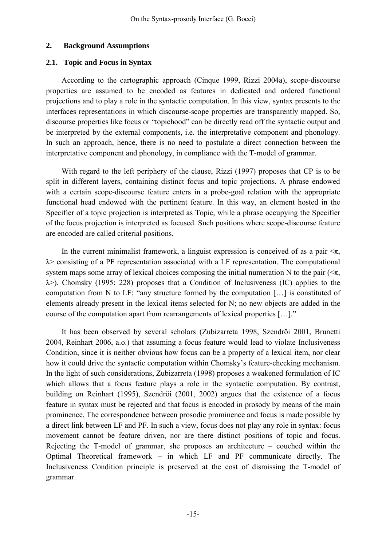## **2. Background Assumptions**

## **2.1. Topic and Focus in Syntax**

 According to the cartographic approach (Cinque 1999, Rizzi 2004a), scope-discourse properties are assumed to be encoded as features in dedicated and ordered functional projections and to play a role in the syntactic computation. In this view, syntax presents to the interfaces representations in which discourse-scope properties are transparently mapped. So, discourse properties like focus or "topichood" can be directly read off the syntactic output and be interpreted by the external components, i.e. the interpretative component and phonology. In such an approach, hence, there is no need to postulate a direct connection between the interpretative component and phonology, in compliance with the T-model of grammar.

 With regard to the left periphery of the clause, Rizzi (1997) proposes that CP is to be split in different layers, containing distinct focus and topic projections. A phrase endowed with a certain scope-discourse feature enters in a probe-goal relation with the appropriate functional head endowed with the pertinent feature. In this way, an element hosted in the Specifier of a topic projection is interpreted as Topic, while a phrase occupying the Specifier of the focus projection is interpreted as focused. Such positions where scope-discourse feature are encoded are called criterial positions.

In the current minimalist framework, a linguist expression is conceived of as a pair  $\leq \pi$ ,  $\lambda$  consisting of a PF representation associated with a LF representation. The computational system maps some array of lexical choices composing the initial numeration N to the pair ( $\leq \pi$ ,  $\lambda$ ). Chomsky (1995: 228) proposes that a Condition of Inclusiveness (IC) applies to the computation from N to LF: "any structure formed by the computation […] is constituted of elements already present in the lexical items selected for N; no new objects are added in the course of the computation apart from rearrangements of lexical properties […]."

 It has been observed by several scholars (Zubizarreta 1998, Szendröi 2001, Brunetti 2004, Reinhart 2006, a.o.) that assuming a focus feature would lead to violate Inclusiveness Condition, since it is neither obvious how focus can be a property of a lexical item, nor clear how it could drive the syntactic computation within Chomsky's feature-checking mechanism. In the light of such considerations, Zubizarreta (1998) proposes a weakened formulation of IC which allows that a focus feature plays a role in the syntactic computation. By contrast, building on Reinhart (1995), Szendröi (2001, 2002) argues that the existence of a focus feature in syntax must be rejected and that focus is encoded in prosody by means of the main prominence. The correspondence between prosodic prominence and focus is made possible by a direct link between LF and PF. In such a view, focus does not play any role in syntax: focus movement cannot be feature driven, nor are there distinct positions of topic and focus. Rejecting the T-model of grammar, she proposes an architecture – couched within the Optimal Theoretical framework – in which LF and PF communicate directly. The Inclusiveness Condition principle is preserved at the cost of dismissing the T-model of grammar.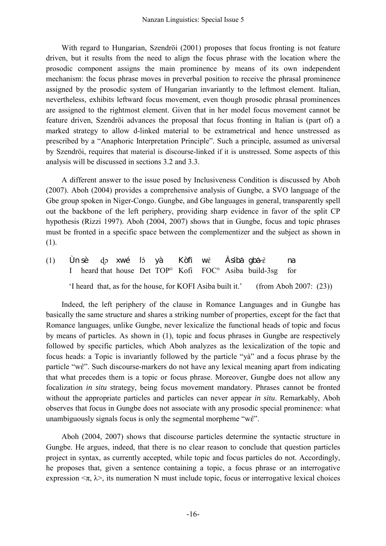With regard to Hungarian, Szendröi (2001) proposes that focus fronting is not feature driven, but it results from the need to align the focus phrase with the location where the prosodic component assigns the main prominence by means of its own independent mechanism: the focus phrase moves in preverbal position to receive the phrasal prominence assigned by the prosodic system of Hungarian invariantly to the leftmost element. Italian, nevertheless, exhibits leftward focus movement, even though prosodic phrasal prominences are assigned to the rightmost element. Given that in her model focus movement cannot be feature driven, Szendröi advances the proposal that focus fronting in Italian is (part of) a marked strategy to allow d-linked material to be extrametrical and hence unstressed as prescribed by a "Anaphoric Interpretation Principle". Such a principle, assumed as universal by Szendröi, requires that material is discourse-linked if it is unstressed. Some aspects of this analysis will be discussed in sections 3.2 and 3.3.

 A different answer to the issue posed by Inclusiveness Condition is discussed by Aboh (2007). Aboh (2004) provides a comprehensive analysis of Gungbe, a SVO language of the Gbe group spoken in Niger-Congo. Gungbe, and Gbe languages in general, transparently spell out the backbone of the left periphery, providing sharp evidence in favor of the split CP hypothesis (Rizzi 1997). Aboh (2004, 2007) shows that in Gungbe, focus and topic phrases must be fronted in a specific space between the complementizer and the subject as shown in (1).

(1) Ùn sè do xwé ló yà Kòfi wề Àsiba gba- $\epsilon$  na I heard that house Det TOP° Kofi FOC° Asiba build-3sg for 'I heard that, as for the house, for KOFI Asiba built it.' (from Aboh 2007: (23))

 Indeed, the left periphery of the clause in Romance Languages and in Gungbe has basically the same structure and shares a striking number of properties, except for the fact that Romance languages, unlike Gungbe, never lexicalize the functional heads of topic and focus by means of particles. As shown in (1), topic and focus phrases in Gungbe are respectively followed by specific particles, which Aboh analyzes as the lexicalization of the topic and focus heads: a Topic is invariantly followed by the particle "yà" and a focus phrase by the particle "we". Such discourse-markers do not have any lexical meaning apart from indicating that what precedes them is a topic or focus phrase. Moreover, Gungbe does not allow any focalization *in situ* strategy, being focus movement mandatory. Phrases cannot be fronted without the appropriate particles and particles can never appear *in situ*. Remarkably, Aboh observes that focus in Gungbe does not associate with any prosodic special prominence: what unambiguously signals focus is only the segmental morpheme "we".

 Aboh (2004, 2007) shows that discourse particles determine the syntactic structure in Gungbe. He argues, indeed, that there is no clear reason to conclude that question particles project in syntax, as currently accepted, while topic and focus particles do not. Accordingly, he proposes that, given a sentence containing a topic, a focus phrase or an interrogative expression  $\langle \pi, \lambda \rangle$ , its numeration N must include topic, focus or interrogative lexical choices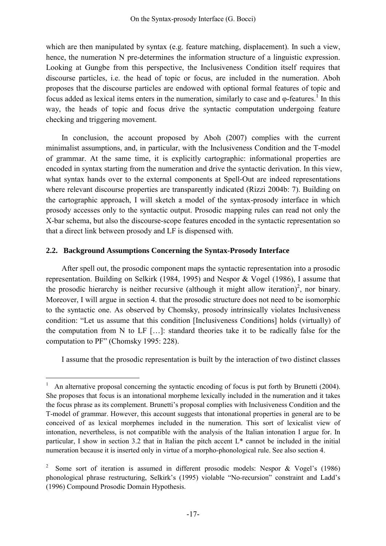which are then manipulated by syntax (e.g. feature matching, displacement). In such a view, hence, the numeration N pre-determines the information structure of a linguistic expression. Looking at Gungbe from this perspective, the Inclusiveness Condition itself requires that discourse particles, i.e. the head of topic or focus, are included in the numeration. Aboh proposes that the discourse particles are endowed with optional formal features of topic and focus added as lexical items enters in the numeration, similarly to case and  $\varphi$ -features.<sup>[1](#page-4-0)</sup> In this way, the heads of topic and focus drive the syntactic computation undergoing feature checking and triggering movement.

 In conclusion, the account proposed by Aboh (2007) complies with the current minimalist assumptions, and, in particular, with the Inclusiveness Condition and the T-model of grammar. At the same time, it is explicitly cartographic: informational properties are encoded in syntax starting from the numeration and drive the syntactic derivation. In this view, what syntax hands over to the external components at Spell-Out are indeed representations where relevant discourse properties are transparently indicated (Rizzi 2004b: 7). Building on the cartographic approach, I will sketch a model of the syntax-prosody interface in which prosody accesses only to the syntactic output. Prosodic mapping rules can read not only the X-bar schema, but also the discourse-scope features encoded in the syntactic representation so that a direct link between prosody and LF is dispensed with.

## **2.2. Background Assumptions Concerning the Syntax-Prosody Interface**

 $\overline{a}$ 

 After spell out, the prosodic component maps the syntactic representation into a prosodic representation. Building on Selkirk (1984, 1995) and Nespor & Vogel (1986), I assume that the prosodic hierarchy is neither recursive (although it might allow iteration)<sup>[2](#page-4-1)</sup>, nor binary. Moreover, I will argue in section 4. that the prosodic structure does not need to be isomorphic to the syntactic one. As observed by Chomsky, prosody intrinsically violates Inclusiveness condition: "Let us assume that this condition [Inclusiveness Conditions] holds (virtually) of the computation from N to LF […]: standard theories take it to be radically false for the computation to PF" (Chomsky 1995: 228).

I assume that the prosodic representation is built by the interaction of two distinct classes

<span id="page-4-0"></span><sup>1</sup> An alternative proposal concerning the syntactic encoding of focus is put forth by Brunetti (2004). She proposes that focus is an intonational morpheme lexically included in the numeration and it takes the focus phrase as its complement. Brunetti's proposal complies with Inclusiveness Condition and the T-model of grammar. However, this account suggests that intonational properties in general are to be conceived of as lexical morphemes included in the numeration. This sort of lexicalist view of intonation, nevertheless, is not compatible with the analysis of the Italian intonation I argue for. In particular, I show in section 3.2 that in Italian the pitch accent L\* cannot be included in the initial numeration because it is inserted only in virtue of a morpho-phonological rule. See also section 4.

<span id="page-4-1"></span><sup>&</sup>lt;sup>2</sup> Some sort of iteration is assumed in different prosodic models: Nespor & Vogel's (1986) phonological phrase restructuring, Selkirk's (1995) violable "No-recursion" constraint and Ladd's (1996) Compound Prosodic Domain Hypothesis.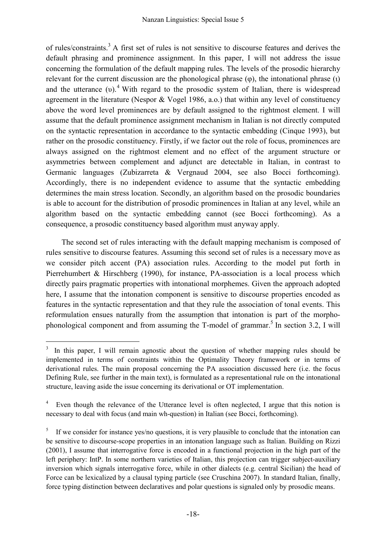of rules/constraints.<sup>[3](#page-5-0)</sup> A first set of rules is not sensitive to discourse features and derives the default phrasing and prominence assignment. In this paper, I will not address the issue concerning the formulation of the default mapping rules. The levels of the prosodic hierarchy relevant for the current discussion are the phonological phrase  $(\varphi)$ , the intonational phrase  $(\iota)$ and the utterance  $(v)$ .<sup>[4](#page-5-1)</sup> With regard to the prosodic system of Italian, there is widespread agreement in the literature (Nespor & Vogel 1986, a.o.) that within any level of constituency above the word level prominences are by default assigned to the rightmost element. I will assume that the default prominence assignment mechanism in Italian is not directly computed on the syntactic representation in accordance to the syntactic embedding (Cinque 1993), but rather on the prosodic constituency. Firstly, if we factor out the role of focus, prominences are always assigned on the rightmost element and no effect of the argument structure or asymmetries between complement and adjunct are detectable in Italian, in contrast to Germanic languages (Zubizarreta & Vergnaud 2004, see also Bocci forthcoming). Accordingly, there is no independent evidence to assume that the syntactic embedding determines the main stress location. Secondly, an algorithm based on the prosodic boundaries is able to account for the distribution of prosodic prominences in Italian at any level, while an algorithm based on the syntactic embedding cannot (see Bocci forthcoming). As a consequence, a prosodic constituency based algorithm must anyway apply.

 The second set of rules interacting with the default mapping mechanism is composed of rules sensitive to discourse features. Assuming this second set of rules is a necessary move as we consider pitch accent (PA) association rules. According to the model put forth in Pierrehumbert & Hirschberg (1990), for instance, PA-association is a local process which directly pairs pragmatic properties with intonational morphemes. Given the approach adopted here, I assume that the intonation component is sensitive to discourse properties encoded as features in the syntactic representation and that they rule the association of tonal events. This reformulation ensues naturally from the assumption that intonation is part of the morpho-phonological component and from assuming the T-model of grammar.<sup>[5](#page-5-2)</sup> In section 3.2, I will

<span id="page-5-0"></span> $3$  In this paper, I will remain agnostic about the question of whether mapping rules should be implemented in terms of constraints within the Optimality Theory framework or in terms of derivational rules. The main proposal concerning the PA association discussed here (i.e. the focus Defining Rule, see further in the main text), is formulated as a representational rule on the intonational structure, leaving aside the issue concerning its derivational or OT implementation.

<span id="page-5-1"></span><sup>4</sup> Even though the relevance of the Utterance level is often neglected, I argue that this notion is necessary to deal with focus (and main wh-question) in Italian (see Bocci, forthcoming).

<span id="page-5-2"></span><sup>5</sup> If we consider for instance yes/no questions, it is very plausible to conclude that the intonation can be sensitive to discourse-scope properties in an intonation language such as Italian. Building on Rizzi (2001), I assume that interrogative force is encoded in a functional projection in the high part of the left periphery: IntP. In some northern varieties of Italian, this projection can trigger subject-auxiliary inversion which signals interrogative force, while in other dialects (e.g. central Sicilian) the head of Force can be lexicalized by a clausal typing particle (see Cruschina 2007). In standard Italian, finally, force typing distinction between declaratives and polar questions is signaled only by prosodic means.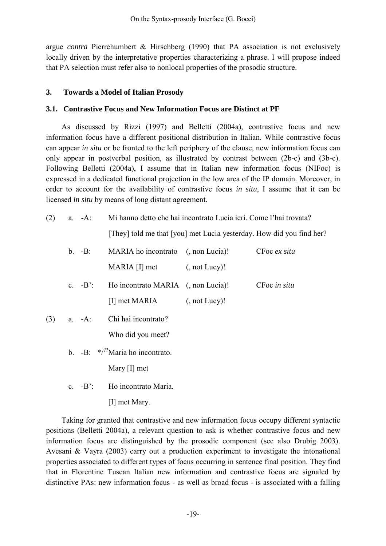argue *contra* Pierrehumbert & Hirschberg (1990) that PA association is not exclusively locally driven by the interpretative properties characterizing a phrase. I will propose indeed that PA selection must refer also to nonlocal properties of the prosodic structure.

## **3. Towards a Model of Italian Prosody**

## **3.1. Contrastive Focus and New Information Focus are Distinct at PF**

 As discussed by Rizzi (1997) and Belletti (2004a), contrastive focus and new information focus have a different positional distribution in Italian. While contrastive focus can appear *in situ* or be fronted to the left periphery of the clause, new information focus can only appear in postverbal position, as illustrated by contrast between (2b-c) and (3b-c). Following Belletti (2004a), I assume that in Italian new information focus (NIFoc) is expressed in a dedicated functional projection in the low area of the IP domain. Moreover, in order to account for the availability of contrastive focus *in situ*, I assume that it can be licensed *in situ* by means of long distant agreement.

(2) a. -A: Mi hanno detto che hai incontrato Lucia ieri. Come l'hai trovata?

[They] told me that [you] met Lucia yesterday. How did you find her?

| $b. -B$ : | MARIA ho incontrato (, non Lucia)! |                     | CFoc ex situ |
|-----------|------------------------------------|---------------------|--------------|
|           | MARIA [I] met                      | $($ , not Lucy $)!$ |              |
| c. $-B$ : | Ho incontrato MARIA (, non Lucia)! |                     | CFoc in situ |
|           | [I] met MARIA                      | $($ , not Lucy $)!$ |              |
|           |                                    |                     |              |

- (3) a. -A: Chi hai incontrato? Who did you meet?
	- b.  $-B: *^{27}$ Maria ho incontrato.

Mary [I] met

c. -B': Ho incontrato Maria.

[I] met Mary.

 Taking for granted that contrastive and new information focus occupy different syntactic positions (Belletti 2004a), a relevant question to ask is whether contrastive focus and new information focus are distinguished by the prosodic component (see also Drubig 2003). Avesani & Vayra (2003) carry out a production experiment to investigate the intonational properties associated to different types of focus occurring in sentence final position. They find that in Florentine Tuscan Italian new information and contrastive focus are signaled by distinctive PAs: new information focus - as well as broad focus - is associated with a falling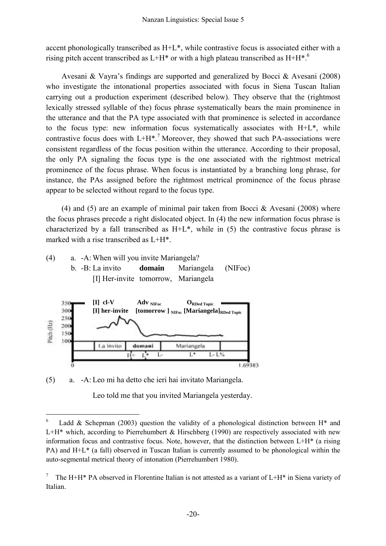accent phonologically transcribed as H+L\*, while contrastive focus is associated either with a rising pitch accent transcribed as  $L+H^*$  or with a high plateau transcribed as  $H^+H^*$ <sup>6</sup>

Avesani & Vayra's findings are supported and generalized by Bocci & Avesani (2008) who investigate the intonational properties associated with focus in Siena Tuscan Italian carrying out a production experiment (described below). They observe that the (rightmost lexically stressed syllable of the) focus phrase systematically bears the main prominence in the utterance and that the PA type associated with that prominence is selected in accordance to the focus type: new information focus systematically associates with H+L\*, while contrastive focus does with  $L+H^*$ .<sup>[7](#page-7-1)</sup> Moreover, they showed that such PA-associations were consistent regardless of the focus position within the utterance. According to their proposal, the only PA signaling the focus type is the one associated with the rightmost metrical prominence of the focus phrase. When focus is instantiated by a branching long phrase, for instance, the PAs assigned before the rightmost metrical prominence of the focus phrase appear to be selected without regard to the focus type.

(4) and (5) are an example of minimal pair taken from Bocci & Avesani (2008) where the focus phrases precede a right dislocated object. In (4) the new information focus phrase is characterized by a fall transcribed as  $H + L^*$ , while in (5) the contrastive focus phrase is marked with a rise transcribed as L+H\*.





(5) a. -A: Leo mi ha detto che ieri hai invitato Mariangela.

 $\overline{a}$ 

Leo told me that you invited Mariangela yesterday.

<span id="page-7-0"></span><sup>&</sup>lt;sup>6</sup> Ladd & Schepman (2003) question the validity of a phonological distinction between H<sup>\*</sup> and  $L+H^*$  which, according to Pierrehumbert & Hirschberg (1990) are respectively associated with new information focus and contrastive focus. Note, however, that the distinction between  $L+H^*$  (a rising PA) and H+L\* (a fall) observed in Tuscan Italian is currently assumed to be phonological within the auto-segmental metrical theory of intonation (Pierrehumbert 1980).

<span id="page-7-1"></span><sup>7</sup> The H+H\* PA observed in Florentine Italian is not attested as a variant of L+H\* in Siena variety of Italian.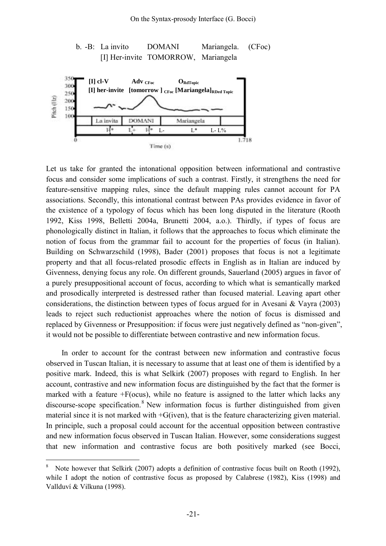

Let us take for granted the intonational opposition between informational and contrastive focus and consider some implications of such a contrast. Firstly, it strengthens the need for feature-sensitive mapping rules, since the default mapping rules cannot account for PA associations. Secondly, this intonational contrast between PAs provides evidence in favor of the existence of a typology of focus which has been long disputed in the literature (Rooth 1992, Kiss 1998, Belletti 2004a, Brunetti 2004, a.o.). Thirdly, if types of focus are phonologically distinct in Italian, it follows that the approaches to focus which eliminate the notion of focus from the grammar fail to account for the properties of focus (in Italian). Building on Schwarzschild (1998), Bader (2001) proposes that focus is not a legitimate property and that all focus-related prosodic effects in English as in Italian are induced by Givenness, denying focus any role. On different grounds, Sauerland (2005) argues in favor of a purely presuppositional account of focus, according to which what is semantically marked and prosodically interpreted is destressed rather than focused material. Leaving apart other considerations, the distinction between types of focus argued for in Avesani & Vayra (2003) leads to reject such reductionist approaches where the notion of focus is dismissed and replaced by Givenness or Presupposition: if focus were just negatively defined as "non-given", it would not be possible to differentiate between contrastive and new information focus.

In order to account for the contrast between new information and contrastive focus observed in Tuscan Italian, it is necessary to assume that at least one of them is identified by a positive mark. Indeed, this is what Selkirk (2007) proposes with regard to English. In her account, contrastive and new information focus are distinguished by the fact that the former is marked with a feature  $+F$ (ocus), while no feature is assigned to the latter which lacks any discourse-scope specification.<sup>[8](#page-8-0)</sup> New information focus is further distinguished from given material since it is not marked with +G(iven), that is the feature characterizing given material. In principle, such a proposal could account for the accentual opposition between contrastive and new information focus observed in Tuscan Italian. However, some considerations suggest that new information and contrastive focus are both positively marked (see Bocci,

<span id="page-8-0"></span><sup>8</sup> Note however that Selkirk (2007) adopts a definition of contrastive focus built on Rooth (1992), while I adopt the notion of contrastive focus as proposed by Calabrese (1982), Kiss (1998) and Vallduví & Vilkuna (1998).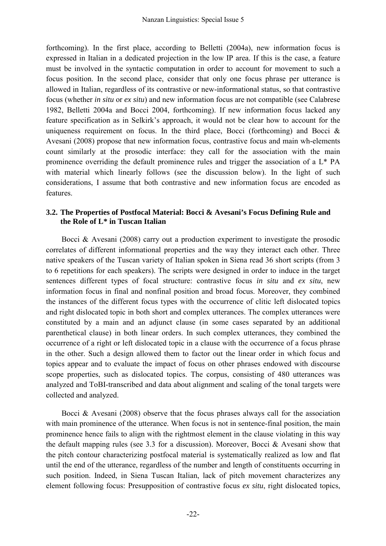forthcoming). In the first place, according to Belletti (2004a), new information focus is expressed in Italian in a dedicated projection in the low IP area. If this is the case, a feature must be involved in the syntactic computation in order to account for movement to such a focus position. In the second place, consider that only one focus phrase per utterance is allowed in Italian, regardless of its contrastive or new-informational status, so that contrastive focus (whether *in situ* or *ex situ*) and new information focus are not compatible (see Calabrese 1982, Belletti 2004a and Bocci 2004, forthcoming). If new information focus lacked any feature specification as in Selkirk's approach, it would not be clear how to account for the uniqueness requirement on focus. In the third place, Bocci (forthcoming) and Bocci  $\&$ Avesani (2008) propose that new information focus, contrastive focus and main wh-elements count similarly at the prosodic interface: they call for the association with the main prominence overriding the default prominence rules and trigger the association of a L\* PA with material which linearly follows (see the discussion below). In the light of such considerations, I assume that both contrastive and new information focus are encoded as features.

# **3.2. The Properties of Postfocal Material: Bocci & Avesani's Focus Defining Rule and the Role of L\* in Tuscan Italian**

 Bocci & Avesani (2008) carry out a production experiment to investigate the prosodic correlates of different informational properties and the way they interact each other. Three native speakers of the Tuscan variety of Italian spoken in Siena read 36 short scripts (from 3 to 6 repetitions for each speakers). The scripts were designed in order to induce in the target sentences different types of focal structure: contrastive focus *in situ* and *ex situ*, new information focus in final and nonfinal position and broad focus. Moreover, they combined the instances of the different focus types with the occurrence of clitic left dislocated topics and right dislocated topic in both short and complex utterances. The complex utterances were constituted by a main and an adjunct clause (in some cases separated by an additional parenthetical clause) in both linear orders. In such complex utterances, they combined the occurrence of a right or left dislocated topic in a clause with the occurrence of a focus phrase in the other. Such a design allowed them to factor out the linear order in which focus and topics appear and to evaluate the impact of focus on other phrases endowed with discourse scope properties, such as dislocated topics. The corpus, consisting of 480 utterances was analyzed and ToBI-transcribed and data about alignment and scaling of the tonal targets were collected and analyzed.

Bocci  $\&$  Avesani (2008) observe that the focus phrases always call for the association with main prominence of the utterance. When focus is not in sentence-final position, the main prominence hence fails to align with the rightmost element in the clause violating in this way the default mapping rules (see 3.3 for a discussion). Moreover, Bocci & Avesani show that the pitch contour characterizing postfocal material is systematically realized as low and flat until the end of the utterance, regardless of the number and length of constituents occurring in such position. Indeed, in Siena Tuscan Italian, lack of pitch movement characterizes any element following focus: Presupposition of contrastive focus *ex situ*, right dislocated topics,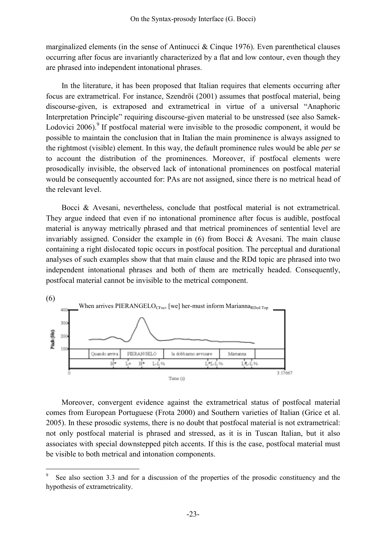marginalized elements (in the sense of Antinucci  $\&$  Cinque 1976). Even parenthetical clauses occurring after focus are invariantly characterized by a flat and low contour, even though they are phrased into independent intonational phrases.

In the literature, it has been proposed that Italian requires that elements occurring after focus are extrametrical. For instance, Szendröi (2001) assumes that postfocal material, being discourse-given, is extraposed and extrametrical in virtue of a universal "Anaphoric Interpretation Principle" requiring discourse-given material to be unstressed (see also Samek-Lodovici 2006).<sup>[9](#page-10-0)</sup> If postfocal material were invisible to the prosodic component, it would be possible to maintain the conclusion that in Italian the main prominence is always assigned to the rightmost (visible) element. In this way, the default prominence rules would be able *per se* to account the distribution of the prominences. Moreover, if postfocal elements were prosodically invisible, the observed lack of intonational prominences on postfocal material would be consequently accounted for: PAs are not assigned, since there is no metrical head of the relevant level.

Bocci & Avesani, nevertheless, conclude that postfocal material is not extrametrical. They argue indeed that even if no intonational prominence after focus is audible, postfocal material is anyway metrically phrased and that metrical prominences of sentential level are invariably assigned. Consider the example in (6) from Bocci & Avesani. The main clause containing a right dislocated topic occurs in postfocal position. The perceptual and durational analyses of such examples show that that main clause and the RDd topic are phrased into two independent intonational phrases and both of them are metrically headed. Consequently, postfocal material cannot be invisible to the metrical component.



Moreover, convergent evidence against the extrametrical status of postfocal material comes from European Portuguese (Frota 2000) and Southern varieties of Italian (Grice et al. 2005). In these prosodic systems, there is no doubt that postfocal material is not extrametrical: not only postfocal material is phrased and stressed, as it is in Tuscan Italian, but it also associates with special downstepped pitch accents. If this is the case, postfocal material must be visible to both metrical and intonation components.

<span id="page-10-0"></span>See also section 3.3 and for a discussion of the properties of the prosodic constituency and the hypothesis of extrametricality.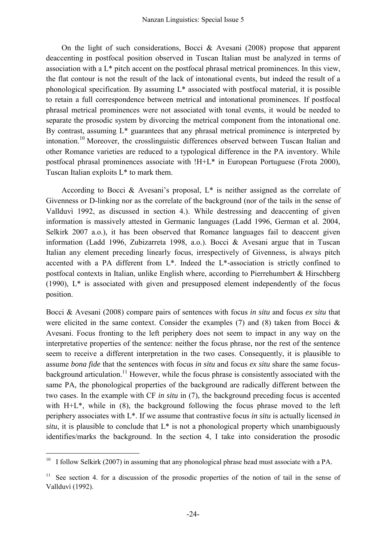On the light of such considerations, Bocci & Avesani (2008) propose that apparent deaccenting in postfocal position observed in Tuscan Italian must be analyzed in terms of association with a L\* pitch accent on the postfocal phrasal metrical prominences. In this view, the flat contour is not the result of the lack of intonational events, but indeed the result of a phonological specification. By assuming L\* associated with postfocal material, it is possible to retain a full correspondence between metrical and intonational prominences. If postfocal phrasal metrical prominences were not associated with tonal events, it would be needed to separate the prosodic system by divorcing the metrical component from the intonational one. By contrast, assuming  $L^*$  guarantees that any phrasal metrical prominence is interpreted by intonation.[10 M](#page-11-0)oreover, the crosslinguistic differences observed between Tuscan Italian and other Romance varieties are reduced to a typological difference in the PA inventory. While postfocal phrasal prominences associate with !H+L\* in European Portuguese (Frota 2000), Tuscan Italian exploits L\* to mark them.

 According to Bocci & Avesani's proposal, L\* is neither assigned as the correlate of Givenness or D-linking nor as the correlate of the background (nor of the tails in the sense of Vallduvì 1992, as discussed in section 4.). While destressing and deaccenting of given information is massively attested in Germanic languages (Ladd 1996, German et al. 2004, Selkirk 2007 a.o.), it has been observed that Romance languages fail to deaccent given information (Ladd 1996, Zubizarreta 1998, a.o.). Bocci & Avesani argue that in Tuscan Italian any element preceding linearly focus, irrespectively of Givenness, is always pitch accented with a PA different from L\*. Indeed the L\*-association is strictly confined to postfocal contexts in Italian, unlike English where, according to Pierrehumbert & Hirschberg (1990),  $L^*$  is associated with given and presupposed element independently of the focus position.

Bocci & Avesani (2008) compare pairs of sentences with focus *in situ* and focus *ex situ* that were elicited in the same context. Consider the examples (7) and (8) taken from Bocci  $\&$ Avesani. Focus fronting to the left periphery does not seem to impact in any way on the interpretative properties of the sentence: neither the focus phrase, nor the rest of the sentence seem to receive a different interpretation in the two cases. Consequently, it is plausible to assume *bona fide* that the sentences with focus *in situ* and focus *ex situ* share the same focusbackground articulation.<sup>11</sup> However, while the focus phrase is consistently associated with the same PA, the phonological properties of the background are radically different between the two cases. In the example with CF *in situ* in (7), the background preceding focus is accented with H<sup>+</sup>L<sup>\*</sup>, while in (8), the background following the focus phrase moved to the left periphery associates with L\*. If we assume that contrastive focus *in situ* is actually licensed *in situ*, it is plausible to conclude that  $L^*$  is not a phonological property which unambiguously identifies/marks the background. In the section 4, I take into consideration the prosodic

<span id="page-11-0"></span><sup>&</sup>lt;sup>10</sup> I follow Selkirk (2007) in assuming that any phonological phrase head must associate with a PA.

<span id="page-11-1"></span> $11$  See section 4. for a discussion of the prosodic properties of the notion of tail in the sense of Vallduvì (1992).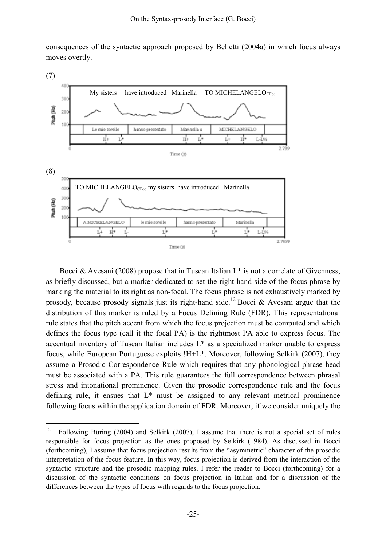consequences of the syntactic approach proposed by Belletti (2004a) in which focus always moves overtly.



Bocci & Avesani (2008) propose that in Tuscan Italian  $L^*$  is not a correlate of Givenness, as briefly discussed, but a marker dedicated to set the right-hand side of the focus phrase by marking the material to its right as non-focal. The focus phrase is not exhaustively marked by prosody, because prosody signals just its right-hand side.<sup>[12](#page-12-0)</sup> Bocci & Avesani argue that the distribution of this marker is ruled by a Focus Defining Rule (FDR). This representational rule states that the pitch accent from which the focus projection must be computed and which defines the focus type (call it the focal PA) is the rightmost PA able to express focus. The accentual inventory of Tuscan Italian includes L\* as a specialized marker unable to express focus, while European Portuguese exploits !H+L\*. Moreover, following Selkirk (2007), they assume a Prosodic Correspondence Rule which requires that any phonological phrase head must be associated with a PA. This rule guarantees the full correspondence between phrasal stress and intonational prominence. Given the prosodic correspondence rule and the focus defining rule, it ensues that L\* must be assigned to any relevant metrical prominence following focus within the application domain of FDR. Moreover, if we consider uniquely the

<span id="page-12-0"></span><sup>&</sup>lt;sup>12</sup> Following Büring (2004) and Selkirk (2007), I assume that there is not a special set of rules responsible for focus projection as the ones proposed by Selkirk (1984). As discussed in Bocci (forthcoming), I assume that focus projection results from the "asymmetric" character of the prosodic interpretation of the focus feature. In this way, focus projection is derived from the interaction of the syntactic structure and the prosodic mapping rules. I refer the reader to Bocci (forthcoming) for a discussion of the syntactic conditions on focus projection in Italian and for a discussion of the differences between the types of focus with regards to the focus projection.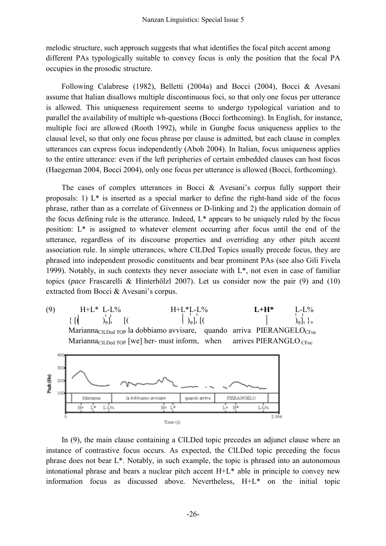melodic structure, such approach suggests that what identifies the focal pitch accent among different PAs typologically suitable to convey focus is only the position that the focal PA occupies in the prosodic structure.

Following Calabrese (1982), Belletti (2004a) and Bocci (2004), Bocci & Avesani assume that Italian disallows multiple discontinuous foci, so that only one focus per utterance is allowed. This uniqueness requirement seems to undergo typological variation and to parallel the availability of multiple wh-questions (Bocci forthcoming). In English, for instance, multiple foci are allowed (Rooth 1992), while in Gungbe focus uniqueness applies to the clausal level, so that only one focus phrase per clause is admitted, but each clause in complex utterances can express focus independently (Aboh 2004). In Italian, focus uniqueness applies to the entire utterance: even if the left peripheries of certain embedded clauses can host focus (Haegeman 2004, Bocci 2004), only one focus per utterance is allowed (Bocci, forthcoming).

The cases of complex utterances in Bocci & Avesani's corpus fully support their proposals: 1) L\* is inserted as a special marker to define the right-hand side of the focus phrase, rather than as a correlate of Givenness or D-linking and 2) the application domain of the focus defining rule is the utterance. Indeed,  $L^*$  appears to be uniquely ruled by the focus position: L\* is assigned to whatever element occurring after focus until the end of the utterance, regardless of its discourse properties and overriding any other pitch accent association rule. In simple utterances, where ClLDed Topics usually precede focus, they are phrased into independent prosodic constituents and bear prominent PAs (see also Gili Fivela 1999). Notably, in such contexts they never associate with L\*, not even in case of familiar topics (*pace* Frascarelli & Hinterhölzl 2007). Let us consider now the pair (9) and (10) extracted from Bocci & Avesani's corpus.

) H+L\* L-L% H+L\*L-L% **L+H\*** L-L%  $(9)$  $\{ [\begin{pmatrix} \lambda & \lambda \\ \lambda & \lambda \end{pmatrix}]_1, \begin{bmatrix} (\lambda & \lambda & \lambda \\ \lambda & \lambda & \lambda \end{bmatrix}]_1, \begin{bmatrix} (\lambda & \lambda & \lambda & \lambda \\ \lambda & \lambda & \lambda & \lambda \end{bmatrix}]_1, \begin{bmatrix} (\lambda & \lambda & \lambda & \lambda \\ \lambda & \lambda & \lambda & \lambda \end{bmatrix}]_1, \begin{bmatrix} (\lambda & \lambda & \lambda & \lambda \\ \lambda & \lambda & \lambda & \lambda & \lambda \end{bmatrix}]_1, \begin{bmatrix} (\lambda & \lambda & \lambda & \lambda & \lambda \\ \lambda & \lambda & \lambda & \lambda & \lambda & \lambda \\ \lambda & \$ Marianna<sub>ClLDed TOP</sub> la dobbiamo avvisare, quando arriva PIERANGELO<sub>CFoc</sub> Marianna<sub>CILDed</sub> TOP [we] her- must inform, when arrives PIERANGLO  $_{\text{CFoc}}$ 



In (9), the main clause containing a ClLDed topic precedes an adjunct clause where an instance of contrastive focus occurs. As expected, the CILDed topic preceding the focus phrase does not bear L\*. Notably, in such example, the topic is phrased into an autonomous intonational phrase and bears a nuclear pitch accent H+L\* able in principle to convey new information focus as discussed above. Nevertheless, H+L\* on the initial topic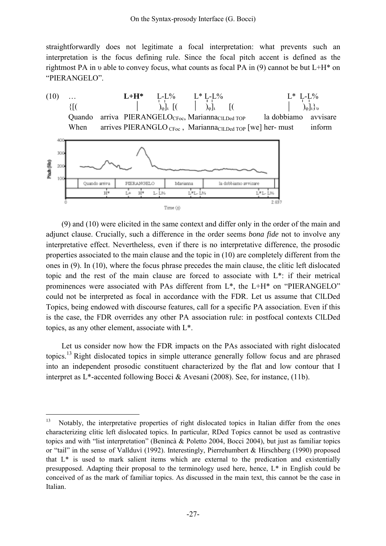straightforwardly does not legitimate a focal interpretation: what prevents such an interpretation is the focus defining rule. Since the focal pitch accent is defined as the rightmost PA in *v* able to convey focus, what counts as focal PA in (9) cannot be but  $L+H^*$  on "PIERANGELO".



(9) and (10) were elicited in the same context and differ only in the order of the main and adjunct clause. Crucially, such a difference in the order seems *bona fide* not to involve any interpretative effect. Nevertheless, even if there is no interpretative difference, the prosodic properties associated to the main clause and the topic in (10) are completely different from the ones in (9). In (10), where the focus phrase precedes the main clause, the clitic left dislocated topic and the rest of the main clause are forced to associate with L\*: if their metrical prominences were associated with PAs different from L\*, the L+H\* on "PIERANGELO" could not be interpreted as focal in accordance with the FDR. Let us assume that ClLDed Topics, being endowed with discourse features, call for a specific PA association. Even if this is the case, the FDR overrides any other PA association rule: in postfocal contexts ClLDed topics, as any other element, associate with L\*.

Let us consider now how the FDR impacts on the PAs associated with right dislocated topics.[13](#page-14-0) Right dislocated topics in simple utterance generally follow focus and are phrased into an independent prosodic constituent characterized by the flat and low contour that I interpret as L\*-accented following Bocci & Avesani (2008). See, for instance, (11b).

<span id="page-14-0"></span><sup>&</sup>lt;sup>13</sup> Notably, the interpretative properties of right dislocated topics in Italian differ from the ones characterizing clitic left dislocated topics. In particular, RDed Topics cannot be used as contrastive topics and with "list interpretation" (Benincà & Poletto 2004, Bocci 2004), but just as familiar topics or "tail" in the sense of Vallduvì (1992). Interestingly, Pierrehumbert & Hirschberg (1990) proposed that L\* is used to mark salient items which are external to the predication and existentially presupposed. Adapting their proposal to the terminology used here, hence, L\* in English could be conceived of as the mark of familiar topics. As discussed in the main text, this cannot be the case in Italian.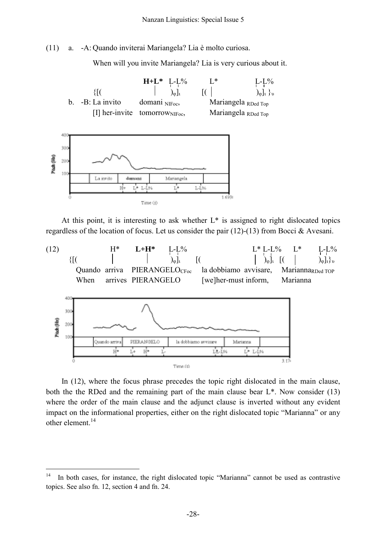(11) a. -A: Quando inviterai Mariangela? Lia è molto curiosa.

When will you invite Mariangela? Lia is very curious about it.



At this point, it is interesting to ask whether  $L^*$  is assigned to right dislocated topics regardless of the location of focus. Let us consider the pair (12)-(13) from Bocci & Avesani.



In (12), where the focus phrase precedes the topic right dislocated in the main clause, both the the RDed and the remaining part of the main clause bear L\*. Now consider (13) where the order of the main clause and the adjunct clause is inverted without any evident impact on the informational properties, either on the right dislocated topic "Marianna" or any other element. [14](#page-15-0)

<span id="page-15-0"></span><sup>&</sup>lt;sup>14</sup> In both cases, for instance, the right dislocated topic "Marianna" cannot be used as contrastive topics. See also fn. 12, section 4 and fn. 24.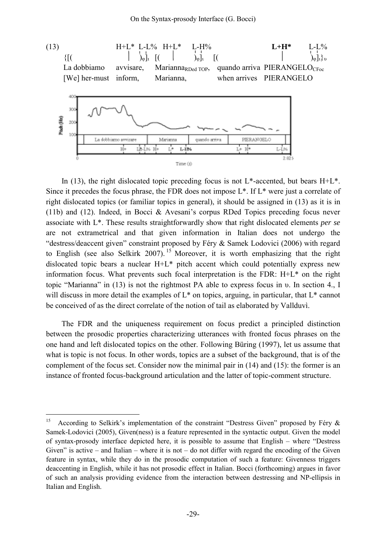

In (13), the right dislocated topic preceding focus is not  $L^*$ -accented, but bears  $H^+L^*$ . Since it precedes the focus phrase, the FDR does not impose L\*. If L\* were just a correlate of right dislocated topics (or familiar topics in general), it should be assigned in (13) as it is in (11b) and (12). Indeed, in Bocci & Avesani's corpus RDed Topics preceding focus never associate with L\*. These results straightforwardly show that right dislocated elements *per se* are not extrametrical and that given information in Italian does not undergo the "destress/deaccent given" constraint proposed by Féry & Samek Lodovici (2006) with regard to English (see also Selkirk 2007).<sup>[15](#page-16-0)</sup> Moreover, it is worth emphasizing that the right dislocated topic bears a nuclear H+L\* pitch accent which could potentially express new information focus. What prevents such focal interpretation is the FDR: H+L\* on the right topic "Marianna" in (13) is not the rightmost PA able to express focus in υ. In section 4., I will discuss in more detail the examples of  $L^*$  on topics, arguing, in particular, that  $L^*$  cannot be conceived of as the direct correlate of the notion of tail as elaborated by Vallduvì.

The FDR and the uniqueness requirement on focus predict a principled distinction between the prosodic properties characterizing utterances with fronted focus phrases on the one hand and left dislocated topics on the other. Following Büring (1997), let us assume that what is topic is not focus. In other words, topics are a subset of the background, that is of the complement of the focus set. Consider now the minimal pair in (14) and (15): the former is an instance of fronted focus-background articulation and the latter of topic-comment structure.

<span id="page-16-0"></span><sup>&</sup>lt;sup>15</sup> According to Selkirk's implementation of the constraint "Destress Given" proposed by Féry  $\&$ Samek-Lodovici (2005), Given(ness) is a feature represented in the syntactic output. Given the model of syntax-prosody interface depicted here, it is possible to assume that English – where "Destress Given" is active – and Italian – where it is not – do not differ with regard the encoding of the Given feature in syntax, while they do in the prosodic computation of such a feature: Givenness triggers deaccenting in English, while it has not prosodic effect in Italian. Bocci (forthcoming) argues in favor of such an analysis providing evidence from the interaction between destressing and NP-ellipsis in Italian and English.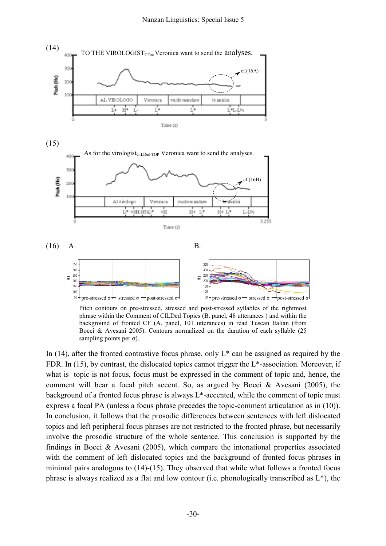

phrase within the Comment of ClLDed Topics (B. panel, 48 utterances ) and within the background of fronted CF (A. panel, 101 utterances) in read Tuscan Italian (from Bocci & Avesani 2005). Contours normalized on the duration of each syllable (25 sampling points per  $\sigma$ ).

In  $(14)$ , after the fronted contrastive focus phrase, only L<sup>\*</sup> can be assigned as required by the FDR. In (15), by contrast, the dislocated topics cannot trigger the L\*-association. Moreover, if what is topic is not focus, focus must be expressed in the comment of topic and, hence, the comment will bear a focal pitch accent. So, as argued by Bocci & Avesani (2005), the background of a fronted focus phrase is always  $L^*$ -accented, while the comment of topic must express a focal PA (unless a focus phrase precedes the topic-comment articulation as in (10)). In conclusion, it follows that the prosodic differences between sentences with left dislocated topics and left peripheral focus phrases are not restricted to the fronted phrase, but necessarily involve the prosodic structure of the whole sentence. This conclusion is supported by the findings in Bocci & Avesani (2005), which compare the intonational properties associated with the comment of left dislocated topics and the background of fronted focus phrases in minimal pairs analogous to (14)-(15). They observed that while what follows a fronted focus phrase is always realized as a flat and low contour (i.e. phonologically transcribed as L\*), the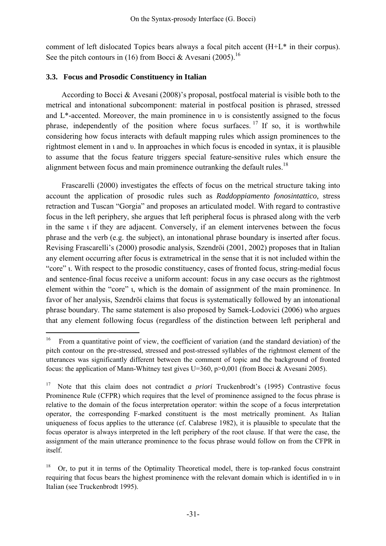comment of left dislocated Topics bears always a focal pitch accent (H+L\* in their corpus). See the pitch contours in ([16](#page-18-0)) from Bocci & Avesani (2005).<sup>16</sup>

### **.3. Focus and Prosodic Constituency in Italian 3**

 $\overline{a}$ 

According to Bocci & Avesani (2008)'s proposal, postfocal material is visible both to the metrical and intonational subcomponent: material in postfocal position is phrased, stressed and L\*-accented. Moreover, the main prominence in υ is consistently assigned to the focus phrase, independently of the position where focus surfaces.  $17$  If so, it is worthwhile considering how focus interacts with default mapping rules which assign prominences to the rightmost element in ι and υ. In approaches in which focus is encoded in syntax, it is plausible to assume that the focus feature triggers special feature-sensitive rules which ensure the alignment between focus and main prominence outranking the default rules.<sup>18</sup>

Frascarelli (2000) investigates the effects of focus on the metrical structure taking into account the application of prosodic rules such as *Raddoppiamento fonosintattico,* stress retraction and Tuscan "Gorgia" and proposes an articulated model. With regard to contrastive focus in the left periphery, she argues that left peripheral focus is phrased along with the verb in the same ι if they are adjacent. Conversely, if an element intervenes between the focus phrase and the verb (e.g. the subject), an intonational phrase boundary is inserted after focus. Revising Frascarelli's (2000) prosodic analysis, Szendröi (2001, 2002) proposes that in Italian any element occurring after focus is extrametrical in the sense that it is not included within the "core" ι. With respect to the prosodic constituency, cases of fronted focus, string-medial focus and sentence-final focus receive a uniform account: focus in any case occurs as the rightmost element within the "core" ι, which is the domain of assignment of the main prominence. In favor of her analysis, Szendröi claims that focus is systematically followed by an intonational phrase boundary. The same statement is also proposed by Samek-Lodovici (2006) who argues that any element following focus (regardless of the distinction between left peripheral and

<span id="page-18-0"></span><sup>&</sup>lt;sup>16</sup> From a quantitative point of view, the coefficient of variation (and the standard deviation) of the pitch contour on the pre-stressed, stressed and post-stressed syllables of the rightmost element of the utterances was significantly different between the comment of topic and the background of fronted focus: the application of Mann-Whitney test gives U=360, p>0,001 (from Bocci & Avesani 2005).

<span id="page-18-1"></span><sup>&</sup>lt;sup>17</sup> Note that this claim does not contradict *a priori* Truckenbrodt's (1995) Contrastive focus Prominence Rule (CFPR) which requires that the level of prominence assigned to the focus phrase is relative to the domain of the focus interpretation operator: within the scope of a focus interpretation operator, the corresponding F-marked constituent is the most metrically prominent. As Italian uniqueness of focus applies to the utterance (cf. Calabrese 1982), it is plausible to speculate that the focus operator is always interpreted in the left periphery of the root clause. If that were the case, the assignment of the main utterance prominence to the focus phrase would follow on from the CFPR in itself.

<span id="page-18-2"></span> $18$  Or, to put it in terms of the Optimality Theoretical model, there is top-ranked focus constraint requiring that focus bears the highest prominence with the relevant domain which is identified in υ in Italian (see Truckenbrodt 1995).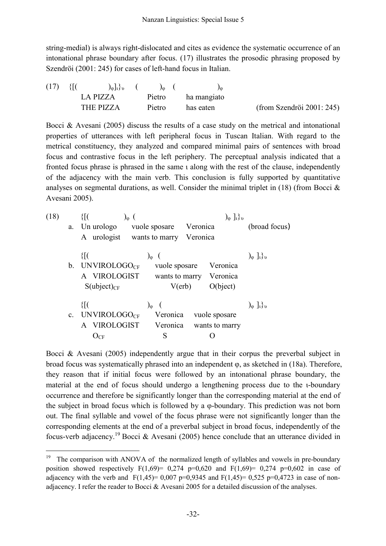string-medial) is always right-dislocated and cites as evidence the systematic occurrence of an intonational phrase boundary after focus. (17) illustrates the prosodic phrasing proposed by Szendröi (2001: 245) for cases of left-hand focus in Italian.

| (17) | 310       | $\int_{\Phi}$   $\int_{\Phi}$   $\int_{\Phi}$   $\int_{\Phi}$   $\int_{\Phi}$   $\int_{\Phi}$   $\int_{\Phi}$   $\int_{\Phi}$   $\int_{\Phi}$   $\int_{\Phi}$   $\int_{\Phi}$   $\int_{\Phi}$   $\int_{\Phi}$   $\int_{\Phi}$   $\int_{\Phi}$   $\int_{\Phi}$   $\int_{\Phi}$   $\int_{\Phi}$   $\int_{\Phi}$   $\int_{\Phi}$ | $\int_{\Omega}$ ( |             |                           |
|------|-----------|-------------------------------------------------------------------------------------------------------------------------------------------------------------------------------------------------------------------------------------------------------------------------------------------------------------------------------|-------------------|-------------|---------------------------|
|      | LA PIZZA  |                                                                                                                                                                                                                                                                                                                               | Pietro            | ha mangiato |                           |
|      | THE PIZZA |                                                                                                                                                                                                                                                                                                                               | Pietro            | has eaten   | (from Szendröi 2001: 245) |

Bocci & Avesani (2005) discuss the results of a case study on the metrical and intonational properties of utterances with left peripheral focus in Tuscan Italian. With regard to the metrical constituency, they analyzed and compared minimal pairs of sentences with broad focus and contrastive focus in the left periphery. The perceptual analysis indicated that a fronted focus phrase is phrased in the same ι along with the rest of the clause, independently of the adjacency with the main verb. This conclusion is fully supported by quantitative analyses on segmental durations, as well. Consider the minimal triplet in  $(18)$  (from Bocci  $\&$ Avesani 2005).

| (18) |    |                         |                 | $\int_{\phi}$ $\int_{\theta}$ |                                      |  |  |
|------|----|-------------------------|-----------------|-------------------------------|--------------------------------------|--|--|
|      | a. | Un urologo              | vuole sposare   | Veronica                      | (broad focus)                        |  |  |
|      |    | A urologist             | wants to marry  | Veronica                      |                                      |  |  |
|      |    | $\{[[$                  | $\int_{\Phi}$ ( |                               | $\int_{\phi}$ $\int_{l} \rbrace_{v}$ |  |  |
|      | b. | <b>UNVIROLOGOCF</b>     | vuole sposare   | Veronica                      |                                      |  |  |
|      |    | A VIROLOGIST            | wants to marry  | Veronica                      |                                      |  |  |
|      |    | $S(\text{ubject})_{CF}$ | $V(\text{erb})$ | O(bject)                      |                                      |  |  |
|      |    | {[(                     | $\int_{\Phi}$   |                               | $\int_{\phi}$ $\int_{\theta}$        |  |  |
|      |    | c. UNVIROLOGO $_{CF}$   | Veronica        | vuole sposare                 |                                      |  |  |
|      |    | A VIROLOGIST            | Veronica        | wants to marry                |                                      |  |  |
|      |    | $\rm O_{CF}$            | S               |                               |                                      |  |  |

Bocci & Avesani (2005) independently argue that in their corpus the preverbal subject in broad focus was systematically phrased into an independent φ, as sketched in (18a). Therefore, they reason that if initial focus were followed by an intonational phrase boundary, the material at the end of focus should undergo a lengthening process due to the ι-boundary occurrence and therefore be significantly longer than the corresponding material at the end of the subject in broad focus which is followed by a φ-boundary. This prediction was not born out. The final syllable and vowel of the focus phrase were not significantly longer than the corresponding elements at the end of a preverbal subject in broad focus, independently of the focus-verb adjacency.<sup>19</sup> Bocci & Avesani (2005) hence conclude that an utterance divided in

<span id="page-19-0"></span><sup>&</sup>lt;sup>19</sup> The comparison with ANOVA of the normalized length of syllables and vowels in pre-boundary position showed respectively  $F(1,69) = 0,274$  p=0,620 and  $F(1,69) = 0,274$  p=0,602 in case of adjacency with the verb and  $F(1,45)= 0,007$  p=0,9345 and  $F(1,45)= 0,525$  p=0,4723 in case of nonadjacency. I refer the reader to Bocci & Avesani 2005 for a detailed discussion of the analyses.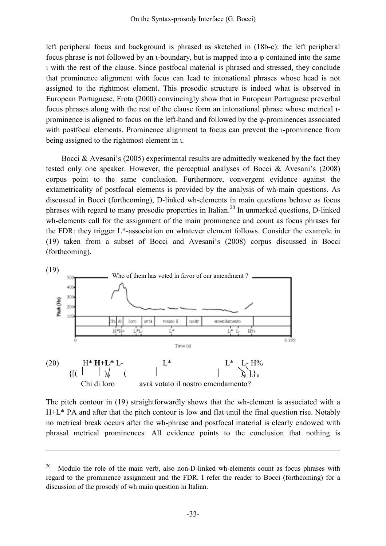left peripheral focus and background is phrased as sketched in (18b-c): the left peripheral focus phrase is not followed by an ι-boundary, but is mapped into a φ contained into the same ι with the rest of the clause. Since postfocal material is phrased and stressed, they conclude that prominence alignment with focus can lead to intonational phrases whose head is not assigned to the rightmost element. This prosodic structure is indeed what is observed in European Portuguese. Frota (2000) convincingly show that in European Portuguese preverbal focus phrases along with the rest of the clause form an intonational phrase whose metrical ιprominence is aligned to focus on the left-hand and followed by the φ-prominences associated with postfocal elements. Prominence alignment to focus can prevent the ι-prominence from being assigned to the rightmost element in ι.

Bocci  $\&$  Avesani's (2005) experimental results are admittedly weakened by the fact they tested only one speaker. However, the perceptual analyses of Bocci & Avesani's (2008) corpus point to the same conclusion. Furthermore, convergent evidence against the extametricality of postfocal elements is provided by the analysis of wh-main questions. As discussed in Bocci (forthcoming), D-linked wh-elements in main questions behave as focus phrases with regard to many prosodic properties in Italian.[20](#page-20-0) In unmarked questions, D-linked wh-elements call for the assignment of the main prominence and count as focus phrases for the FDR: they trigger L\*-association on whatever element follows. Consider the example in (19) taken from a subset of Bocci and Avesani's (2008) corpus discussed in Bocci (forthcoming).



 $\overline{a}$ 

The pitch contour in (19) straightforwardly shows that the wh-element is associated with a no metrical break occurs after the wh-phrase and postfocal material is clearly endowed with phrasal metrical prominences. All evidence points to the conclusion that nothing is H+L\* PA and after that the pitch contour is low and flat until the final question rise. Notably

<span id="page-20-0"></span> $20$  Modulo the role of the main verb, also non-D-linked wh-elements count as focus phrases with regard to the prominence assignment and the FDR. I refer the reader to Bocci (forthcoming) for a discussion of the prosody of wh main question in Italian.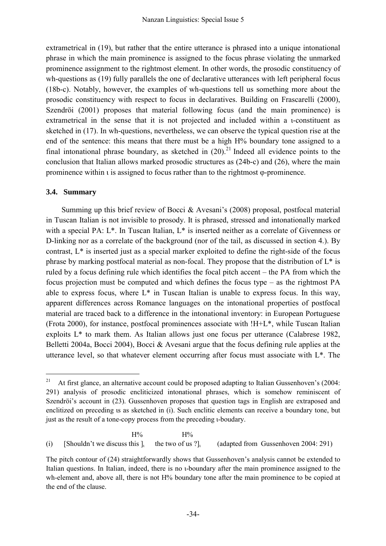extrametrical in (19), but rather that the entire utterance is phrased into a unique intonational phrase in which the main prominence is assigned to the focus phrase violating the unmarked prominence assignment to the rightmost element. In other words, the prosodic constituency of wh-questions as (19) fully parallels the one of declarative utterances with left peripheral focus (18b-c). Notably, however, the examples of wh-questions tell us something more about the prosodic constituency with respect to focus in declaratives. Building on Frascarelli (2000), Szendröi (2001) proposes that material following focus (and the main prominence) is extrametrical in the sense that it is not projected and included within a ι-constituent as sketched in (17). In wh-questions, nevertheless, we can observe the typical question rise at the end of the sentence: this means that there must be a high H% boundary tone assigned to a final intonational phrase boundary, as sketched in  $(20)^{21}$  Indeed all evidence points to the conclusion that Italian allows marked prosodic structures as (24b-c) and (26), where the main prominence within ι is assigned to focus rather than to the rightmost φ-prominence.

## **3.4. Summary**

 $\overline{a}$ 

Summing up this brief review of Bocci & Avesani's (2008) proposal, postfocal material in Tuscan Italian is not invisible to prosody. It is phrased, stressed and intonationally marked with a special PA:  $L^*$ . In Tuscan Italian,  $L^*$  is inserted neither as a correlate of Givenness or D-linking nor as a correlate of the background (nor of the tail, as discussed in section 4.). By contrast, L\* is inserted just as a special marker exploited to define the right-side of the focus phrase by marking postfocal material as non-focal. They propose that the distribution of L\* is ruled by a focus defining rule which identifies the focal pitch accent – the PA from which the focus projection must be computed and which defines the focus type – as the rightmost PA able to express focus, where  $L^*$  in Tuscan Italian is unable to express focus. In this way, apparent differences across Romance languages on the intonational properties of postfocal material are traced back to a difference in the intonational inventory: in European Portuguese (Frota 2000), for instance, postfocal prominences associate with !H+L\*, while Tuscan Italian exploits L\* to mark them. As Italian allows just one focus per utterance (Calabrese 1982, Belletti 2004a, Bocci 2004), Bocci & Avesani argue that the focus defining rule applies at the utterance level, so that whatever element occurring after focus must associate with L\*. The

 $H%$  H%  $H%$ 

(i) [Shouldn't we discuss this  $\vert_1$  the two of us  $\vert_1$  (adapted from Gussenhoven 2004: 291)

<span id="page-21-0"></span><sup>&</sup>lt;sup>21</sup> At first glance, an alternative account could be proposed adapting to Italian Gussenhoven's (2004: 291) analysis of prosodic encliticized intonational phrases, which is somehow reminiscent of Szendröi's account in (23). Gussenhoven proposes that question tags in English are extraposed and enclitized on preceding is as sketched in (i). Such enclitic elements can receive a boundary tone, but just as the result of a tone-copy process from the preceding ι-boudary.

The pitch contour of (24) straightforwardly shows that Gussenhoven's analysis cannot be extended to Italian questions. In Italian, indeed, there is no ι-boundary after the main prominence assigned to the wh-element and, above all, there is not H% boundary tone after the main prominence to be copied at the end of the clause.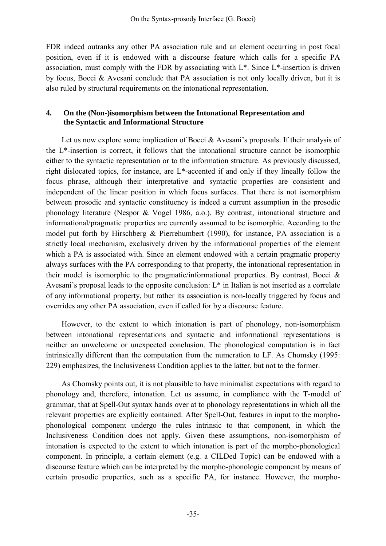FDR indeed outranks any other PA association rule and an element occurring in post focal position, even if it is endowed with a discourse feature which calls for a specific PA association, must comply with the FDR by associating with L\*. Since L\*-insertion is driven by focus, Bocci & Avesani conclude that PA association is not only locally driven, but it is also ruled by structural requirements on the intonational representation.

## **4. On the (Non-)isomorphism between the Intonational Representation and the Syntactic and Informational Structure**

Let us now explore some implication of Bocci  $\&$  Avesani's proposals. If their analysis of the  $L^*$ -insertion is correct, it follows that the intonational structure cannot be isomorphic either to the syntactic representation or to the information structure. As previously discussed, right dislocated topics, for instance, are L\*-accented if and only if they lineally follow the focus phrase, although their interpretative and syntactic properties are consistent and independent of the linear position in which focus surfaces. That there is not isomorphism between prosodic and syntactic constituency is indeed a current assumption in the prosodic phonology literature (Nespor & Vogel 1986, a.o.). By contrast, intonational structure and informational/pragmatic properties are currently assumed to be isomorphic. According to the model put forth by Hirschberg & Pierrehumbert (1990), for instance, PA association is a strictly local mechanism, exclusively driven by the informational properties of the element which a PA is associated with. Since an element endowed with a certain pragmatic property always surfaces with the PA corresponding to that property, the intonational representation in their model is isomorphic to the pragmatic/informational properties. By contrast, Bocci & Avesani's proposal leads to the opposite conclusion: L\* in Italian is not inserted as a correlate of any informational property, but rather its association is non-locally triggered by focus and overrides any other PA association, even if called for by a discourse feature.

between intonational representations and syntactic and informational representations is neither an unwelcome or unexpected conclusion. The phonological computation is in fact However, to the extent to which intonation is part of phonology, non-isomorphism intrinsically different than the computation from the numeration to LF. As Chomsky (1995: 229) emphasizes, the Inclusiveness Condition applies to the latter, but not to the former.

phonology and, therefore, intonation. Let us assume, in compliance with the T-model of grammar, that at Spell-Out syntax hands over at to phonology representations in which all the As Chomsky points out, it is not plausible to have minimalist expectations with regard to relevant properties are explicitly contained. After Spell-Out, features in input to the morphophonological component undergo the rules intrinsic to that component, in which the Inclusiveness Condition does not apply. Given these assumptions, non-isomorphism of intonation is expected to the extent to which intonation is part of the morpho-phonological component. In principle, a certain element (e.g. a CILDed Topic) can be endowed with a discourse feature which can be interpreted by the morpho-phonologic component by means of certain prosodic properties, such as a specific PA, for instance. However, the morpho-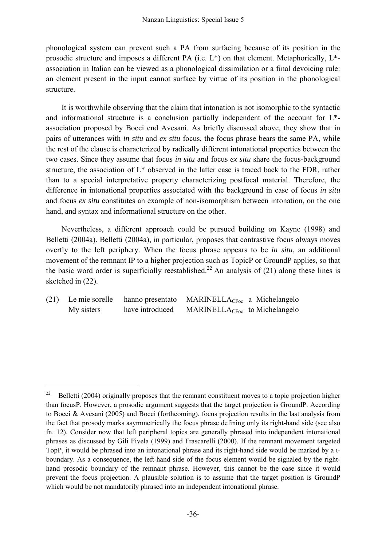phonological system can prevent such a PA from surfacing because of its position in the prosodic structure and imposes a different PA (i.e. L\*) on that element. Metaphorically, L\* association in Italian can be viewed as a phonological dissimilation or a final devoicing rule: an element present in the input cannot surface by virtue of its position in the phonological structure.

and informational structure is a conclusion partially independent of the account for  $L^*$ association proposed by Bocci end Avesani. As briefly discussed above, they show that in pairs of utterances with *in situ* and *ex situ* focus, the focus phrase bears the same PA, while It is worthwhile observing that the claim that intonation is not isomorphic to the syntactic the rest of the clause is characterized by radically different intonational properties between the two cases. Since they assume that focus *in situ* and focus *ex situ* share the focus-background structure, the association of L\* observed in the latter case is traced back to the FDR, rather than to a special interpretative property characterizing postfocal material. Therefore, the difference in intonational properties associated with the background in case of focus *in situ* and focus *ex situ* constitutes an example of non-isomorphism between intonation, on the one hand, and syntax and informational structure on the other.

Belletti (2004a). Belletti (2004a), in particular, proposes that contrastive focus always moves overtly to the left periphery. When the focus phrase appears to be *in situ*, an additional Nevertheless, a different approach could be pursued building on Kayne (1998) and movement of the remnant IP to a higher projection such as TopicP or GroundP applies, so that the basic word order is superficially reestablished.<sup>22</sup> An analysis of (21) along these lines is sketched in (22).

|            |                 | (21) Le mie sorelle hanno presentato MARINELLA <sub>CFoc</sub> a Michelangelo |  |  |
|------------|-----------------|-------------------------------------------------------------------------------|--|--|
| My sisters | have introduced | $MARINELLA_{CFoc}$ to Michelangelo                                            |  |  |

<span id="page-23-0"></span><sup>&</sup>lt;sup>22</sup> Belletti (2004) originally proposes that the remnant constituent moves to a topic projection higher than focusP. However, a prosodic argument suggests that the target projection is GroundP. According to Bocci & Avesani (2005) and Bocci (forthcoming), focus projection results in the last analysis from the fact that prosody marks asymmetrically the focus phrase defining only its right-hand side (see also fn. 12). Consider now that left peripheral topics are generally phrased into independent intonational phrases as discussed by Gili Fivela (1999) and Frascarelli (2000). If the remnant movement targeted TopP, it would be phrased into an intonational phrase and its right-hand side would be marked by a ιboundary. As a consequence, the left-hand side of the focus element would be signaled by the righthand prosodic boundary of the remnant phrase. However, this cannot be the case since it would prevent the focus projection. A plausible solution is to assume that the target position is GroundP which would be not mandatorily phrased into an independent intonational phrase.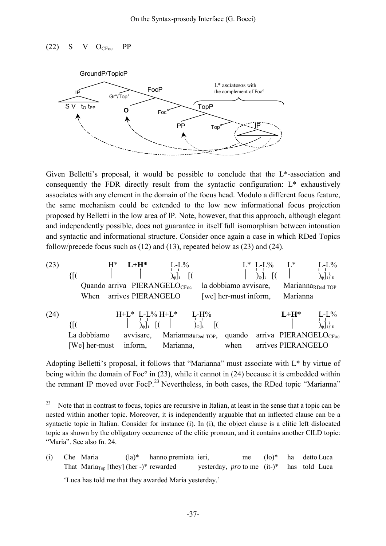## $(22)$  S V OCF<sub>oc</sub> PP

 $\overline{a}$ 



Given Belletti's proposal, it would be possible to conclude that the L\*-association and consequently the FDR directly result from the syntactic configuration: L\* exhaustively associates with any element in the domain of the focus head. Modulo a different focus feature, the same mechanism could be extended to the low new informational focus projection proposed by Belletti in the low area of IP. Note, however, that this approach, although elegant and independently possible, does not guarantee in itself full isomorphism between intonation and syntactic and informational structure. Consider once again a case in which RDed Topics follow/precede focus such as (12) and (13), repeated below as (23) and (24).

| (23) | {[(                                      | $H^*$ | $L+H^*$              | $L-L\%$<br>$)_{\varphi}]_{\iota}$ |                                |                       | $L^*$ L-L%<br>$\int_{0}$ <sub>u</sub> | $L^*$                                                   | $L-L\%$<br>$\int_{\phi}$ <sub>1</sub> , $\int_{\theta}$ |
|------|------------------------------------------|-------|----------------------|-----------------------------------|--------------------------------|-----------------------|---------------------------------------|---------------------------------------------------------|---------------------------------------------------------|
|      | Quando arriva PIERANGELO <sub>CFoc</sub> |       |                      |                                   |                                | la dobbiamo avvisare, |                                       | Marianna <sub>RDed TOP</sub>                            |                                                         |
|      | When                                     |       | arrives PIERANGELO   |                                   |                                | [we] her-must inform, |                                       | Marianna                                                |                                                         |
| (24) | {[(                                      |       | $H+L^*$ L-L% $H+L^*$ |                                   | $L-H%$<br>)օ]ւ                 |                       |                                       | $L+H^*$                                                 | $L-L\%$<br>$\int_{\phi}$ ] <sub>1</sub> } <sub>1</sub>  |
|      | La dobbiamo<br>[We] her-must             |       | avvisare,<br>inform, | Marianna,                         | Marianna <sub>RDed TOP</sub> , | quando<br>when        |                                       | arriva PIERANGELO <sub>CFoc</sub><br>arrives PIERANGELO |                                                         |

Adopting Belletti's proposal, it follows that "Marianna" must associate with L\* by virtue of being within the domain of Foc° in (23), while it cannot in (24) because it is embedded within the remnant IP moved over Foc $P<sup>23</sup>$  $P<sup>23</sup>$  $P<sup>23</sup>$  Nevertheless, in both cases, the RDed topic "Marianna"

<span id="page-24-0"></span><sup>&</sup>lt;sup>23</sup> Note that in contrast to focus, topics are recursive in Italian, at least in the sense that a topic can be nested within another topic. Moreover, it is independently arguable that an inflected clause can be a syntactic topic in Italian. Consider for instance (i). In (i), the object clause is a clitic left dislocated topic as shown by the obligatory occurrence of the clitic pronoun, and it contains another ClLD topic: "Maria". See also fn. 24.

<sup>(</sup>i) Che Maria (la)\* hanno premiata ieri, me (lo)\* ha detto Luca That Maria<sub>Top</sub> [they] (her -)\* rewarded yesterday, *pro* to me (it-)\* has told Luca 'Luca has told me that they awarded Maria yesterday.'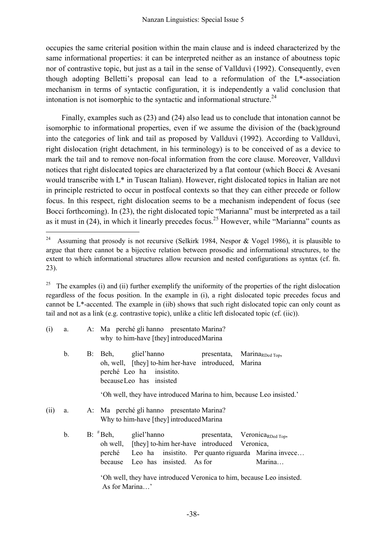occupies the same criterial position within the main clause and is indeed characterized by the same informational properties: it can be interpreted neither as an instance of aboutness topic nor of contrastive topic, but just as a tail in the sense of Vallduvì (1992). Consequently, even though adopting Belletti's proposal can lead to a reformulation of the L\*-association mechanism in terms of syntactic configuration, it is independently a valid conclusion that intonation is not isomorphic to the syntactic and informational structure.<sup>[24](#page-25-0)</sup>

 Finally, examples such as (23) and (24) also lead us to conclude that intonation cannot be isomorphic to informational properties, even if we assume the division of the (back)ground into the categories of link and tail as proposed by Vallduvì (1992). According to Vallduvì, right dislocation (right detachment, in his terminology) is to be conceived of as a device to mark the tail and to remove non-focal information from the core clause. Moreover, Vallduvì notices that right dislocated topics are characterized by a flat contour (which Bocci & Avesani would transcribe with L\* in Tuscan Italian). However, right dislocated topics in Italian are not in principle restricted to occur in postfocal contexts so that they can either precede or follow focus. In this respect, right dislocation seems to be a mechanism independent of focus (see Bocci forthcoming). In (23), the right dislocated topic "Marianna" must be interpreted as a tail as it must in  $(24)$ , in which it linearly precedes focus.<sup>25</sup> However, while "Marianna" counts as

 $\overline{a}$ 

<span id="page-25-1"></span><sup>&</sup>lt;sup>25</sup> The examples (i) and (ii) further exemplify the uniformity of the properties of the right dislocation regardless of the focus position. In the example in (i), a right dislocated topic precedes focus and cannot be L\*-accented. The example in (iib) shows that such right dislocated topic can only count as tail and not as a link (e.g. contrastive topic), unlike a clitic left dislocated topic (cf. (iic)).

| (i)  | a. | A: Ma perché gli hanno presentato Marina?<br>why to him-have [they] introduced Marina                                                                                                                                                          |  |  |  |  |  |  |
|------|----|------------------------------------------------------------------------------------------------------------------------------------------------------------------------------------------------------------------------------------------------|--|--|--|--|--|--|
|      | b. | B: Beh, gliel'hanno<br>presentata,<br>Marina <sub>RDed Top</sub> ,<br>oh, well, [they] to-him her-have introduced, Marina<br>perché Leo ha insistito.<br>because Leo has insisted                                                              |  |  |  |  |  |  |
|      |    | 'Oh well, they have introduced Marina to him, because Leo insisted.'                                                                                                                                                                           |  |  |  |  |  |  |
| (ii) | a. | A: Ma perché gli hanno presentato Marina?<br>Why to him-have [they] introduced Marina                                                                                                                                                          |  |  |  |  |  |  |
|      | b. | $B:$ $#Beh$ ,<br>gliel'hanno<br>presentata, Veronica <sub>RDed Top</sub> ,<br>oh well, [they] to-him her-have introduced Veronica,<br>perché Leo ha insistito. Per quanto riguarda Marina invece<br>because Leo has insisted. As for<br>Marina |  |  |  |  |  |  |

 'Oh well, they have introduced Veronica to him, because Leo insisted. As for Marina…'

<span id="page-25-0"></span><sup>&</sup>lt;sup>24</sup> Assuming that prosody is not recursive (Selkirk 1984, Nespor & Vogel 1986), it is plausible to argue that there cannot be a bijective relation between prosodic and informational structures, to the extent to which informational structures allow recursion and nested configurations as syntax (cf. fn. 23).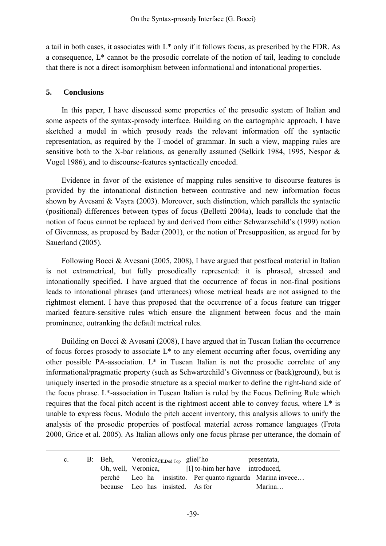a tail in both cases, it associates with L\* only if it follows focus, as prescribed by the FDR. As a consequence, L\* cannot be the prosodic correlate of the notion of tail, leading to conclude that there is not a direct isomorphism between informational and intonational properties.

### **5. Conclusions**

 $\overline{a}$ 

 In this paper, I have discussed some properties of the prosodic system of Italian and some aspects of the syntax-prosody interface. Building on the cartographic approach, I have sketched a model in which prosody reads the relevant information off the syntactic representation, as required by the T-model of grammar. In such a view, mapping rules are sensitive both to the X-bar relations, as generally assumed (Selkirk 1984, 1995, Nespor & Vogel 1986), and to discourse-features syntactically encoded.

 Evidence in favor of the existence of mapping rules sensitive to discourse features is provided by the intonational distinction between contrastive and new information focus shown by Avesani & Vayra (2003). Moreover, such distinction, which parallels the syntactic (positional) differences between types of focus (Belletti 2004a), leads to conclude that the notion of focus cannot be replaced by and derived from either Schwarzschild's (1999) notion of Givenness, as proposed by Bader (2001), or the notion of Presupposition, as argued for by Sauerland (2005).

 Following Bocci & Avesani (2005, 2008), I have argued that postfocal material in Italian is not extrametrical, but fully prosodically represented: it is phrased, stressed and intonationally specified. I have argued that the occurrence of focus in non-final positions leads to intonational phrases (and utterances) whose metrical heads are not assigned to the rightmost element. I have thus proposed that the occurrence of a focus feature can trigger marked feature-sensitive rules which ensure the alignment between focus and the main prominence, outranking the default metrical rules.

Building on Bocci & Avesani (2008), I have argued that in Tuscan Italian the occurrence of focus forces prosody to associate L\* to any element occurring after focus, overriding any other possible PA-association. L\* in Tuscan Italian is not the prosodic correlate of any informational/pragmatic property (such as Schwartzchild's Givenness or (back)ground), but is uniquely inserted in the prosodic structure as a special marker to define the right-hand side of the focus phrase. L\*-association in Tuscan Italian is ruled by the Focus Defining Rule which requires that the focal pitch accent is the rightmost accent able to convey focus, where L\* is unable to express focus. Modulo the pitch accent inventory, this analysis allows to unify the analysis of the prosodic properties of postfocal material across romance languages (Frota 2000, Grice et al. 2005). As Italian allows only one focus phrase per utterance, the domain of

| $c_{\cdot}$ |                                  | B: Beh, Veronica <sub>CILDed Top</sub> gliel'ho |  |                                                            | presentata, |
|-------------|----------------------------------|-------------------------------------------------|--|------------------------------------------------------------|-------------|
|             |                                  |                                                 |  | Oh, well, Veronica, [I] to-him her have introduced,        |             |
|             |                                  |                                                 |  | perché Leo ha insistito. Per quanto riguarda Marina invece |             |
|             | because Leo has insisted. As for |                                                 |  |                                                            | Marina      |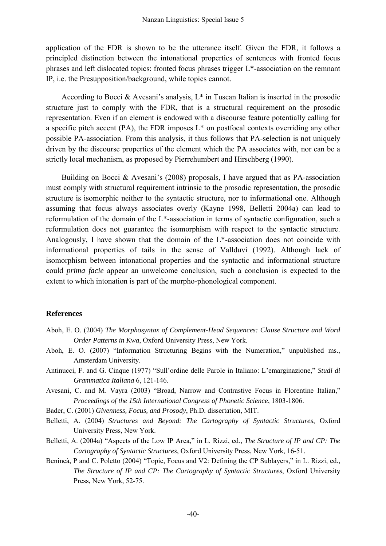application of the FDR is shown to be the utterance itself. Given the FDR, it follows a principled distinction between the intonational properties of sentences with fronted focus phrases and left dislocated topics: fronted focus phrases trigger L\*-association on the remnant IP, i.e. the Presupposition/background, while topics cannot.

According to Bocci & Avesani's analysis,  $L^*$  in Tuscan Italian is inserted in the prosodic structure just to comply with the FDR, that is a structural requirement on the prosodic representation. Even if an element is endowed with a discourse feature potentially calling for a specific pitch accent (PA), the FDR imposes  $L^*$  on postfocal contexts overriding any other possible PA-association. From this analysis, it thus follows that PA-selection is not uniquely driven by the discourse properties of the element which the PA associates with, nor can be a strictly local mechanism, as proposed by Pierrehumbert and Hirschberg (1990).

 Building on Bocci & Avesani's (2008) proposals, I have argued that as PA-association must comply with structural requirement intrinsic to the prosodic representation, the prosodic structure is isomorphic neither to the syntactic structure, nor to informational one. Although assuming that focus always associates overly (Kayne 1998, Belletti 2004a) can lead to reformulation of the domain of the L\*-association in terms of syntactic configuration, such a reformulation does not guarantee the isomorphism with respect to the syntactic structure. Analogously, I have shown that the domain of the L\*-association does not coincide with informational properties of tails in the sense of Vallduvì (1992). Although lack of isomorphism between intonational properties and the syntactic and informational structure could *prima facie* appear an unwelcome conclusion, such a conclusion is expected to the extent to which intonation is part of the morpho-phonological component.

#### **References**

- Aboh, E. O. (2004) *The Morphosyntax of Complement-Head Sequences: Clause Structure and Word Order Patterns in Kwa*, Oxford University Press, New York.
- Aboh, E. O. (2007) "Information Structuring Begins with the Numeration," unpublished ms., Amsterdam University.
- Antinucci, F. and G. Cinque (1977) "Sull'ordine delle Parole in Italiano: L'emarginazione," *Studi di Grammatica Italiana* 6, 121-146.
- Avesani, C. and M. Vayra (2003) "Broad, Narrow and Contrastive Focus in Florentine Italian," *Proceedings of the 15th International Congress of Phonetic Science*, 1803-1806.
- Bader, C. (2001) *Givenness, Focus, and Prosody*, Ph.D. dissertation, MIT.
- Belletti, A. (2004) *Structures and Beyond: The Cartography of Syntactic Structures*, Oxford University Press, New York.
- Belletti, A. (2004a) "Aspects of the Low IP Area," in L. Rizzi, ed., *The Structure of IP and CP: The Cartography of Syntactic Structures*, Oxford University Press, New York, 16-51.
- Benincà, P and C. Poletto (2004) "Topic, Focus and V2: Defining the CP Sublayers," in L. Rizzi, ed., *The Structure of IP and CP: The Cartography of Syntactic Structures*, Oxford University Press, New York, 52-75.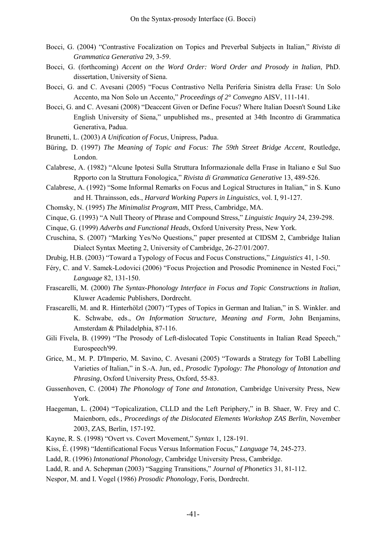- Bocci, G. (2004) "Contrastive Focalization on Topics and Preverbal Subjects in Italian," *Rivista di Grammatica Generativa* 29, 3-59.
- Bocci, G. (forthcoming) *Accent on the Word Order: Word Order and Prosody in Italian*, PhD. dissertation, University of Siena.
- Bocci, G. and C. Avesani (2005) "Focus Contrastivo Nella Periferia Sinistra della Frase: Un Solo Accento, ma Non Solo un Accento," *Proceedings of 2° Convegno* AISV, 111-141.
- Bocci, G. and C. Avesani (2008) "Deaccent Given or Define Focus? Where Italian Doesn't Sound Like English University of Siena," unpublished ms., presented at 34th Incontro di Grammatica Generativa, Padua.
- Brunetti, L. (2003) *A Unification of Focus*, Unipress, Padua.
- Büring, D. (1997) *The Meaning of Topic and Focus: The 59th Street Bridge Accent*, Routledge, London.
- Calabrese, A. (1982) "Alcune Ipotesi Sulla Struttura Informazionale della Frase in Italiano e Sul Suo Rpporto con la Struttura Fonologica," *Rivista di Grammatica Generative* 13, 489-526.
- Calabrese, A. (1992) "Some Informal Remarks on Focus and Logical Structures in Italian," in S. Kuno and H. Thrainsson, eds., *Harvard Working Papers in Linguistics*, vol. I, 91-127.
- Chomsky, N. (1995) *The Minimalist Program*, MIT Press, Cambridge, MA.
- Cinque, G. (1993) "A Null Theory of Phrase and Compound Stress," *Linguistic Inquiry* 24, 239-298.
- Cinque, G. (1999) *Adverbs and Functional Heads*, Oxford University Press, New York.
- Cruschina, S. (2007) "Marking Yes/No Questions," paper presented at CIDSM 2, Cambridge Italian Dialect Syntax Meeting 2, University of Cambridge, 26-27/01/2007.
- Drubig, H.B. (2003) "Toward a Typology of Focus and Focus Constructions," *Linguistics* 41, 1-50.
- Féry, C. and V. Samek-Lodovici (2006) "Focus Projection and Prosodic Prominence in Nested Foci," *Language* 82, 131-150.
- Frascarelli, M. (2000) *The Syntax-Phonology Interface in Focus and Topic Constructions in Italian*, Kluwer Academic Publishers, Dordrecht.
- Frascarelli, M. and R. Hinterhölzl (2007) "Types of Topics in German and Italian," in S. Winkler. and K. Schwabe, eds., *On Information Structure, Meaning and Form*, John Benjamins, Amsterdam & Philadelphia, 87-116.
- Gili Fivela, B. (1999) "The Prosody of Left-dislocated Topic Constituents in Italian Read Speech," Eurospeech'99.
- Grice, M., M. P. D'Imperio, M. Savino, C. Avesani (2005) "Towards a Strategy for ToBI Labelling Varieties of Italian," in S.-A. Jun, ed., *Prosodic Typology: The Phonology of Intonation and Phrasing*, Oxford University Press, Oxford, 55-83.
- Gussenhoven, C. (2004) *The Phonology of Tone and Intonation*, Cambridge University Press, New York.
- Haegeman, L. (2004) "Topicalization, CLLD and the Left Periphery," in B. Shaer, W. Frey and C. Maienborn, eds., *Proceedings of the Dislocated Elements Workshop ZAS Berlin*, November 2003, ZAS, Berlin, 157-192.
- Kayne, R. S. (1998) "Overt vs. Covert Movement," *Syntax* 1, 128-191.
- Kiss, É. (1998) "Identificational Focus Versus Information Focus," *Language* 74, 245-273.
- Ladd, R. (1996) *Intonational Phonology*, Cambridge University Press, Cambridge.
- Ladd, R. and A. Schepman (2003) "Sagging Transitions," *Journal of Phonetics* 31, 81-112.
- Nespor, M. and I. Vogel (1986) *Prosodic Phonology*, Foris, Dordrecht.